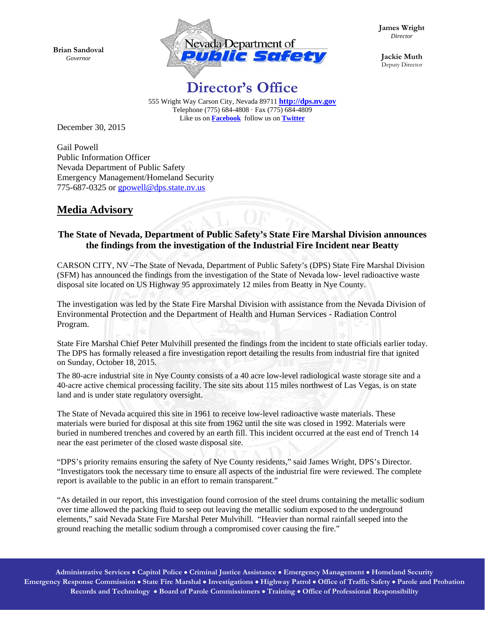**Brian Sandoval** *Governor* 



**James Wright** *Director* 

**Jackie Muth**  Deputy Director

## **Director's Office**

555 Wright Way Carson City, Nevada 89711 **http://dps.nv.gov** Telephone (775) 684-4808 · Fax (775) 684-4809 Like us on **Facebook** follow us on **Twitter**

December 30, 2015

Gail Powell Public Information Officer Nevada Department of Public Safety Emergency Management/Homeland Security 775-687-0325 or gpowell@dps.state.nv.us

## **Media Advisory**

## **The State of Nevada, Department of Public Safety's State Fire Marshal Division announces the findings from the investigation of the Industrial Fire Incident near Beatty**

CARSON CITY, NV –The State of Nevada, Department of Public Safety's (DPS) State Fire Marshal Division (SFM) has announced the findings from the investigation of the State of Nevada low- level radioactive waste disposal site located on US Highway 95 approximately 12 miles from Beatty in Nye County.

The investigation was led by the State Fire Marshal Division with assistance from the Nevada Division of Environmental Protection and the Department of Health and Human Services - Radiation Control Program.

State Fire Marshal Chief Peter Mulvihill presented the findings from the incident to state officials earlier today. The DPS has formally released a fire investigation report detailing the results from industrial fire that ignited on Sunday, October 18, 2015.

The 80-acre industrial site in Nye County consists of a 40 acre low-level radiological waste storage site and a 40-acre active chemical processing facility. The site sits about 115 miles northwest of Las Vegas, is on state land and is under state regulatory oversight.

The State of Nevada acquired this site in 1961 to receive low-level radioactive waste materials. These materials were buried for disposal at this site from 1962 until the site was closed in 1992. Materials were buried in numbered trenches and covered by an earth fill. This incident occurred at the east end of Trench 14 near the east perimeter of the closed waste disposal site.

"DPS's priority remains ensuring the safety of Nye County residents," said James Wright, DPS's Director. "Investigators took the necessary time to ensure all aspects of the industrial fire were reviewed. The complete report is available to the public in an effort to remain transparent."

"As detailed in our report, this investigation found corrosion of the steel drums containing the metallic sodium over time allowed the packing fluid to seep out leaving the metallic sodium exposed to the underground elements," said Nevada State Fire Marshal Peter Mulvihill. "Heavier than normal rainfall seeped into the ground reaching the metallic sodium through a compromised cover causing the fire."

**Administrative Services Capitol Police Criminal Justice Assistance Emergency Management Homeland Security Emergency Response Commission State Fire Marshal Investigations Highway Patrol Office of Traffic Safety Parole and Probation Records and Technology Board of Parole Commissioners Training Office of Professional Responsibility**